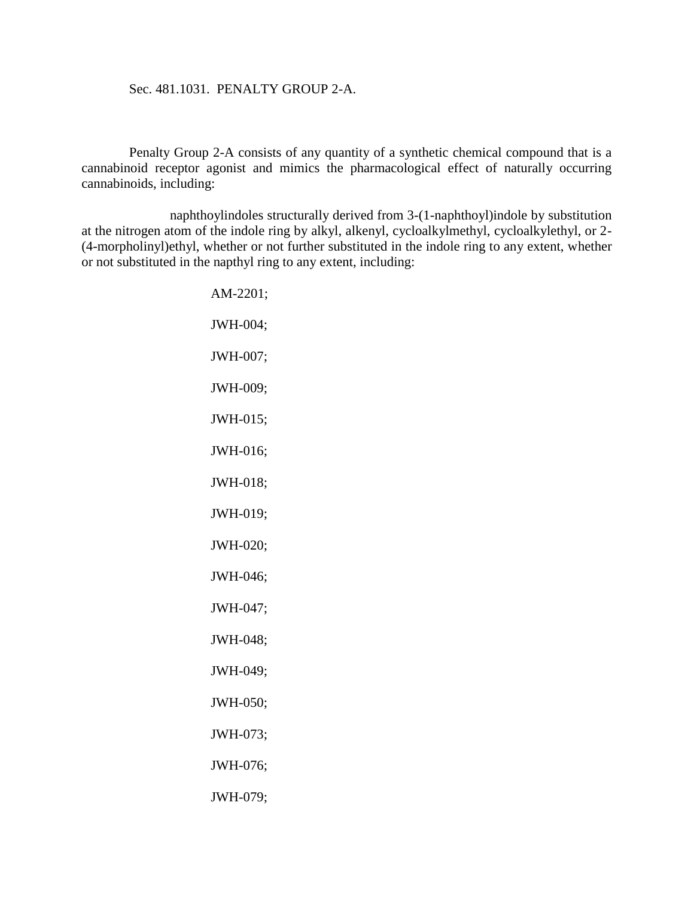## Sec. 481.1031. PENALTY GROUP 2-A.

Penalty Group 2-A consists of any quantity of a synthetic chemical compound that is a cannabinoid receptor agonist and mimics the pharmacological effect of naturally occurring cannabinoids, including:

naphthoylindoles structurally derived from 3-(1-naphthoyl)indole by substitution at the nitrogen atom of the indole ring by alkyl, alkenyl, cycloalkylmethyl, cycloalkylethyl, or 2- (4-morpholinyl)ethyl, whether or not further substituted in the indole ring to any extent, whether or not substituted in the napthyl ring to any extent, including:

> AM-2201; JWH-004; JWH-007; JWH-009; JWH-015; JWH-016; JWH-018; JWH-019; JWH-020; JWH-046; JWH-047; JWH-048; JWH-049; JWH-050; JWH-073; JWH-076; JWH-079;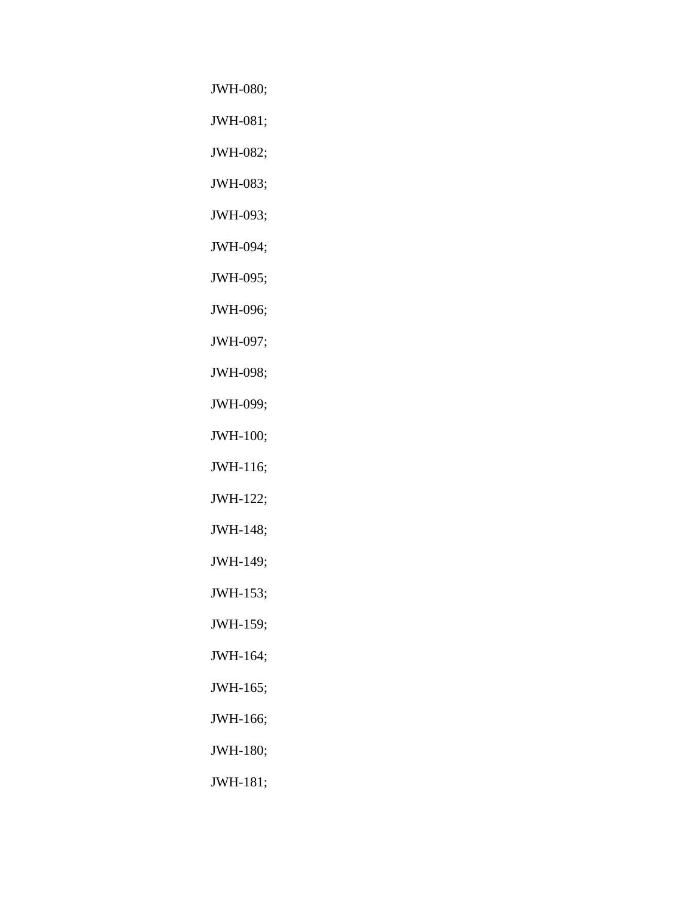JWH-080;

JWH-081;

JWH-082;

JWH-083;

JWH-093;

JWH-094;

JWH-095;

JWH-096;

JWH-097;

JWH-098;

JWH-099;

JWH-100;

JWH-116;

JWH-122;

JWH-148;

JWH-149;

JWH-153;

JWH-159;

JWH-164;

JWH-165;

JWH-166;

JWH-180;

JWH-181;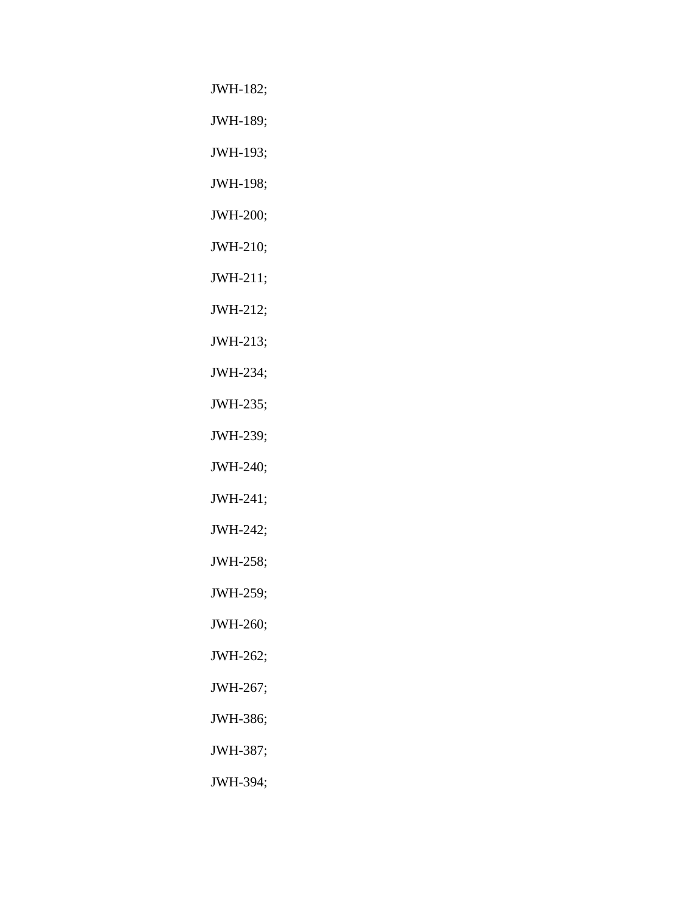JWH-182;

JWH-189;

JWH-193;

JWH-198;

JWH-200;

JWH-210;

JWH-211;

JWH-212;

JWH-213;

JWH-234;

JWH-235;

JWH-239;

JWH-240;

JWH-241;

JWH-242;

JWH-258;

JWH-259;

JWH-260;

JWH-262;

JWH-267;

JWH-386;

JWH-387;

JWH-394;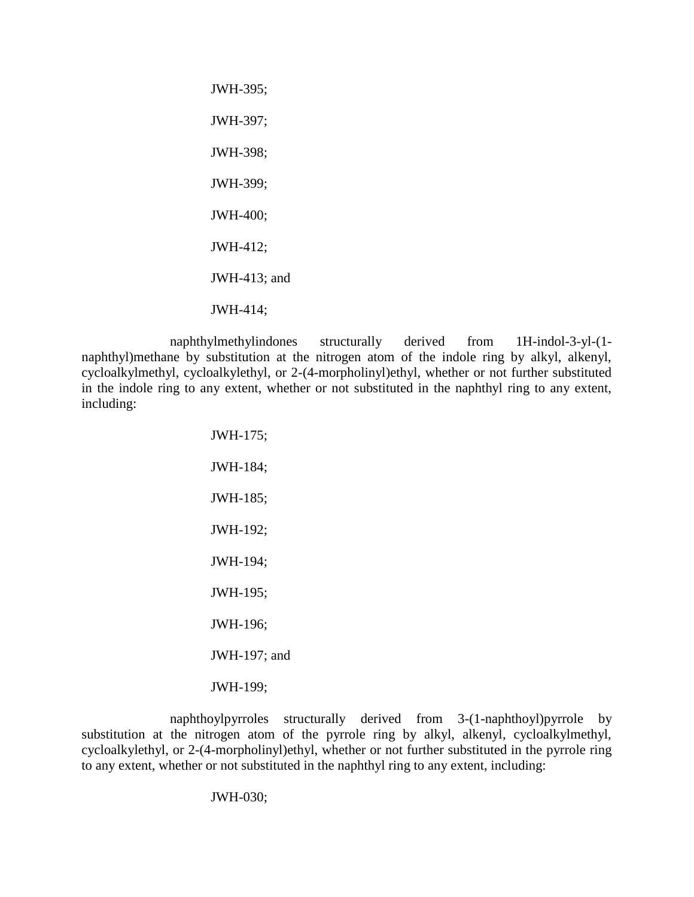JWH-395; JWH-397; JWH-398; JWH-399; JWH-400; JWH-412; JWH-413; and JWH-414;

naphthylmethylindones structurally derived from 1H-indol-3-yl-(1 naphthyl)methane by substitution at the nitrogen atom of the indole ring by alkyl, alkenyl, cycloalkylmethyl, cycloalkylethyl, or 2-(4-morpholinyl)ethyl, whether or not further substituted in the indole ring to any extent, whether or not substituted in the naphthyl ring to any extent, including:

> JWH-175; JWH-184; JWH-185; JWH-192; JWH-194; JWH-195; JWH-196; JWH-197; and JWH-199;

naphthoylpyrroles structurally derived from 3-(1-naphthoyl)pyrrole by substitution at the nitrogen atom of the pyrrole ring by alkyl, alkenyl, cycloalkylmethyl, cycloalkylethyl, or 2-(4-morpholinyl)ethyl, whether or not further substituted in the pyrrole ring to any extent, whether or not substituted in the naphthyl ring to any extent, including:

JWH-030;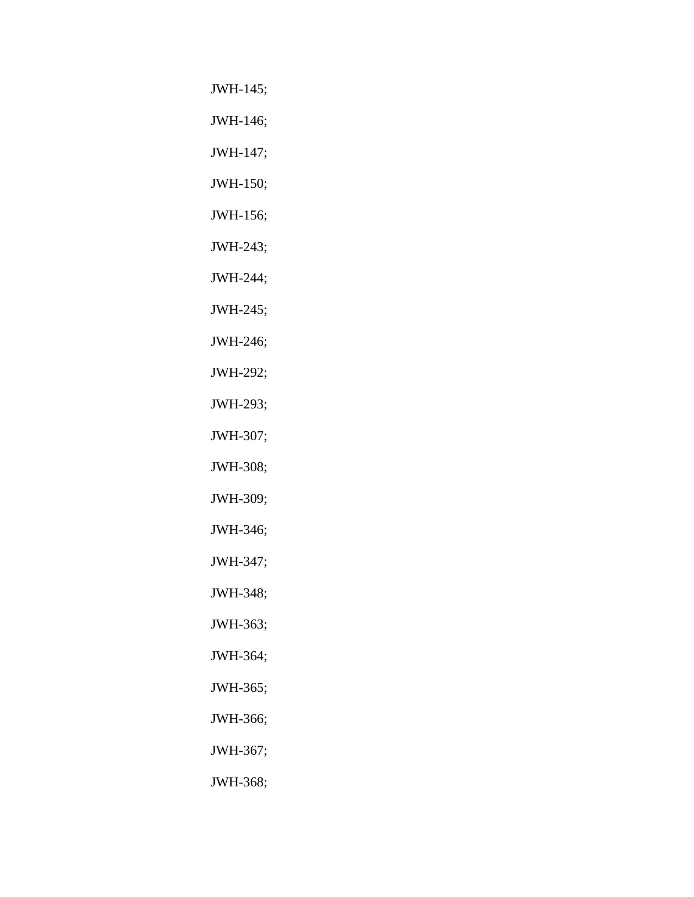JWH-145;

JWH-146;

JWH-147;

JWH-150;

JWH-156;

JWH-243;

JWH-244;

JWH-245;

JWH-246;

JWH-292;

JWH-293;

JWH-307;

JWH-308;

JWH-309;

JWH-346;

JWH-347;

JWH-348;

JWH-363;

JWH-364;

JWH-365;

JWH-366;

JWH-367;

JWH-368;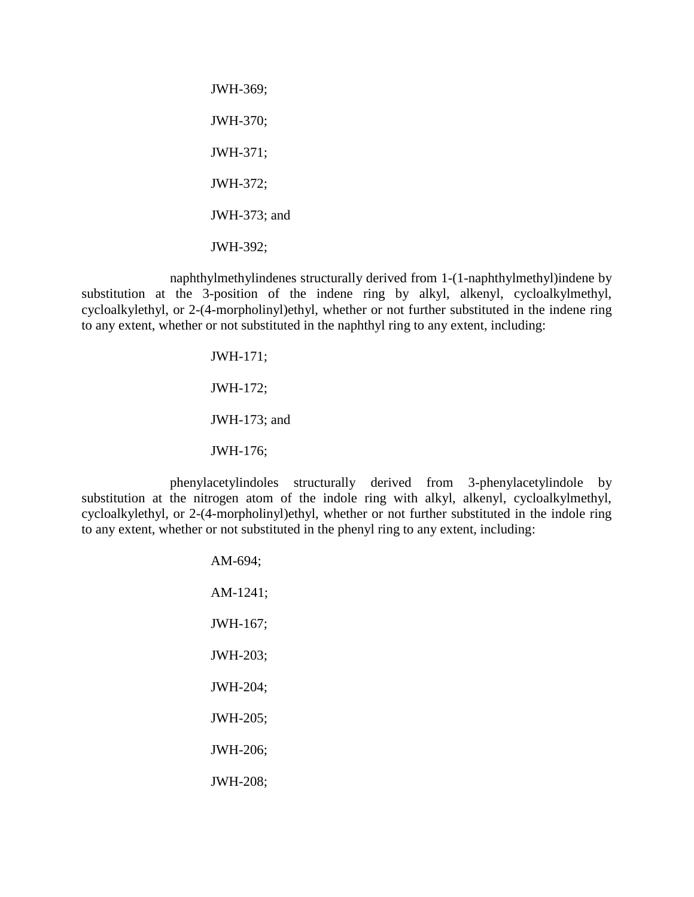JWH-369; JWH-370; JWH-371; JWH-372; JWH-373; and JWH-392;

naphthylmethylindenes structurally derived from 1-(1-naphthylmethyl)indene by substitution at the 3-position of the indene ring by alkyl, alkenyl, cycloalkylmethyl, cycloalkylethyl, or 2-(4-morpholinyl)ethyl, whether or not further substituted in the indene ring to any extent, whether or not substituted in the naphthyl ring to any extent, including:

> JWH-171; JWH-172; JWH-173; and JWH-176;

phenylacetylindoles structurally derived from 3-phenylacetylindole by substitution at the nitrogen atom of the indole ring with alkyl, alkenyl, cycloalkylmethyl, cycloalkylethyl, or 2-(4-morpholinyl)ethyl, whether or not further substituted in the indole ring to any extent, whether or not substituted in the phenyl ring to any extent, including:

> AM-694; AM-1241; JWH-167; JWH-203; JWH-204; JWH-205; JWH-206; JWH-208;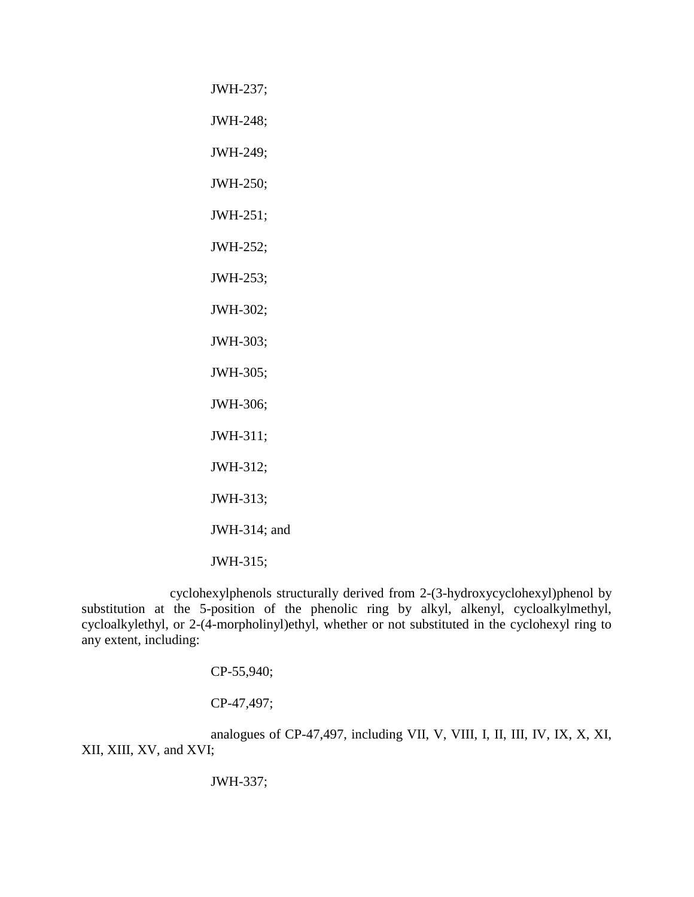JWH-237; JWH-248; JWH-249; JWH-250; JWH-251; JWH-252; JWH-253; JWH-302; JWH-303; JWH-305; JWH-306; JWH-311; JWH-312; JWH-313; JWH-314; and JWH-315;

cyclohexylphenols structurally derived from 2-(3-hydroxycyclohexyl)phenol by substitution at the 5-position of the phenolic ring by alkyl, alkenyl, cycloalkylmethyl, cycloalkylethyl, or 2-(4-morpholinyl)ethyl, whether or not substituted in the cyclohexyl ring to any extent, including:

CP-55,940;

CP-47,497;

analogues of CP-47,497, including VII, V, VIII, I, II, III, IV, IX, X, XI, XII, XIII, XV, and XVI;

JWH-337;